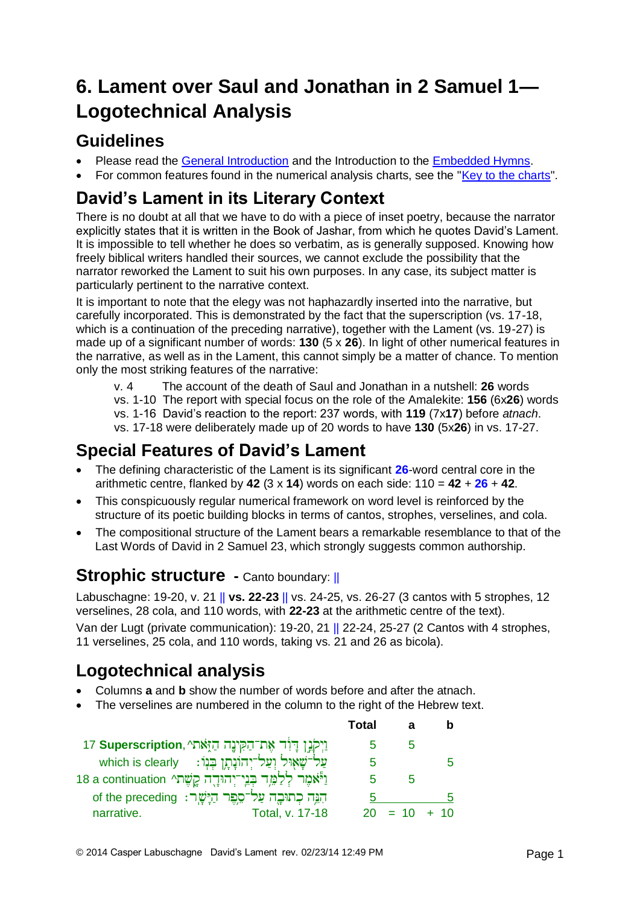# **6. Lament over Saul and Jonathan in 2 Samuel 1— Logotechnical Analysis**

## **Guidelines**

- Please read the [General Introduction](http://www.labuschagne.nl/aspects.pdf) and the Introduction to the [Embedded Hymns.](http://www.labuschagne.nl/intro.embed.pdf)
- For common features found in the numerical analysis charts, see the ["Key to the charts"](http://www.labuschagne.nl/keytocharts.pdf).

## **David's Lament in its Literary Context**

There is no doubt at all that we have to do with a piece of inset poetry, because the narrator explicitly states that it is written in the Book of Jashar, from which he quotes David's Lament. It is impossible to tell whether he does so verbatim, as is generally supposed. Knowing how freely biblical writers handled their sources, we cannot exclude the possibility that the narrator reworked the Lament to suit his own purposes. In any case, its subject matter is particularly pertinent to the narrative context.

It is important to note that the elegy was not haphazardly inserted into the narrative, but carefully incorporated. This is demonstrated by the fact that the superscription (vs. 17-18, which is a continuation of the preceding narrative), together with the Lament (vs. 19-27) is made up of a significant number of words: **130** (5 x **26**). In light of other numerical features in the narrative, as well as in the Lament, this cannot simply be a matter of chance. To mention only the most striking features of the narrative:

v. 4 The account of the death of Saul and Jonathan in a nutshell: **26** words vs. 1-10 The report with special focus on the role of the Amalekite: **156** (6x**26**) words vs. 1-16 David's reaction to the report: 237 words, with **119** (7x**17**) before *atnach*. vs. 17-18 were deliberately made up of 20 words to have **130** (5x**26**) in vs. 17-27.

## **Special Features of David's Lament**

- The defining characteristic of the Lament is its significant **26**-word central core in the arithmetic centre, flanked by **42** (3 x **14**) words on each side: 110 = **42** + **26** + **42**.
- This conspicuously regular numerical framework on word level is reinforced by the structure of its poetic building blocks in terms of cantos, strophes, verselines, and cola.
- The compositional structure of the Lament bears a remarkable resemblance to that of the Last Words of David in 2 Samuel 23, which strongly suggests common authorship.

#### **Strophic structure -** Canto boundary: ||

Labuschagne: 19-20, v. 21 || **vs. 22-23** || vs. 24-25, vs. 26-27 (3 cantos with 5 strophes, 12 verselines, 28 cola, and 110 words, with **22-23** at the arithmetic centre of the text).

Van der Lugt (private communication): 19-20, 21 || 22-24, 25-27 (2 Cantos with 4 strophes, 11 verselines, 25 cola, and 110 words, taking vs. 21 and 26 as bicola).

# **Logotechnical analysis**

- Columns **a** and **b** show the number of words before and after the atnach.
- The verselines are numbered in the column to the right of the Hebrew text.

|                                                                             | Total |                |   |
|-----------------------------------------------------------------------------|-------|----------------|---|
| ון פון הַיִּאָתי 17 Superscription, נִיְקֹנְן דְּוֹד אֶת־הַקִּינֶה הַזֶּאתי |       | b              |   |
| שַׁלְ־שָׁאָוּל וְעַל־יְהוֹנָתֶן בְּנְוֹ: which is clearly                   |       |                |   |
| וַיְאמֶר לְלַמֵּך בְּנֵי־יְהוּדֶה קֱשֶׁתי 18 a continuation                 |       | h              |   |
| הִגֶּה כְתוּבֶה עַל־סֶפֶר הַיָּשֶׁר: of the preceding                       | .h    |                | n |
| Total, v. 17-18<br>narrative.                                               |       | $20 = 10 + 10$ |   |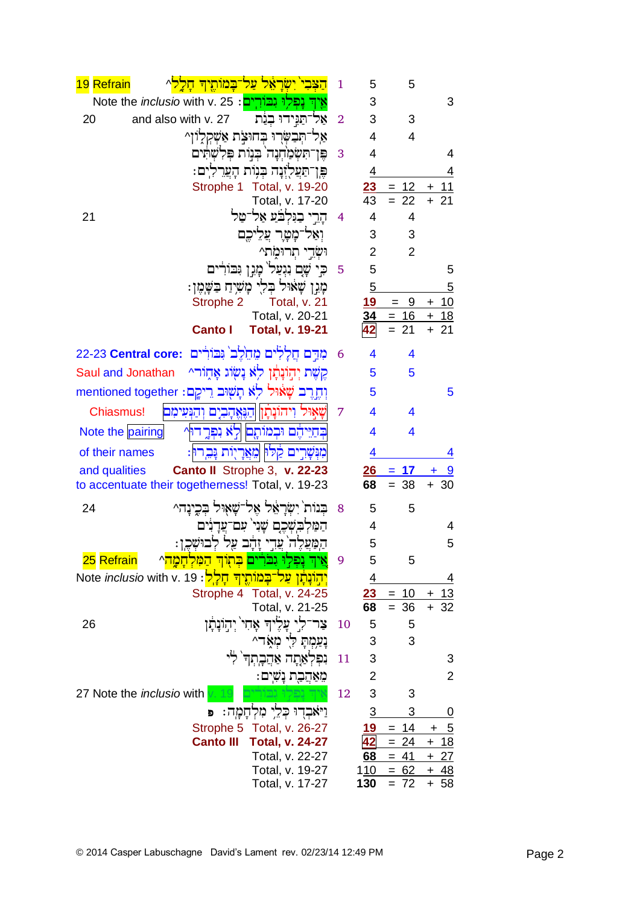| 19 Refrain<br><mark>במותיד חלל</mark> ^                                                            | $\mathbf{1}$   | 5                       | 5                      |                                      |
|----------------------------------------------------------------------------------------------------|----------------|-------------------------|------------------------|--------------------------------------|
| <mark>וַפְלִוּ וְבוֹרִים</mark> : Note the <i>inclusio</i> with v. 25                              |                | 3                       |                        | 3                                    |
| and also with v. 27<br>20<br>אל־תַּיִידוּ בְנַת                                                    | $\overline{2}$ | 3                       | 3                      |                                      |
| אַל־תִּבְשָׂרִוּ בְחוּצָת אַשְׁקִלְוֹן^                                                            |                | 4                       | 4                      |                                      |
| פֶּן־תִּשְׂמַחְנָה בִּנְוֹת פִּלְשָׁתִּים                                                          | 3              | 4                       |                        | 4                                    |
| פֵּוְ־תַּעֲלִזְנַה בִּנִוֹת הַעֲרֵלְיִם:                                                           |                | $\overline{4}$          |                        | 4                                    |
| Strophe 1<br>Total, v. 19-20                                                                       |                | 23                      | 12<br>$=$              | 11<br>+                              |
| Total, v. 17-20                                                                                    |                | 43                      | 22                     |                                      |
| הרי בגלבע אל־טל<br>21                                                                              | 4              | $\overline{4}$          | 4                      |                                      |
| ואל־מָטַר עַלֵיכֵם                                                                                 |                | 3                       | 3                      |                                      |
| וּשָׁדֵי תִרוּמֹתי                                                                                 |                | $\overline{2}$          | $\overline{2}$         |                                      |
| שָׁם נִגְעַל מָגְן גִּבוֹרִים                                                                      | 5              | 5                       |                        | 5                                    |
| מָגָן שָׁאוּל בְלִי מָשִׁיָח בַּשָּׁמֶן:                                                           |                | $\overline{5}$          |                        | 5                                    |
| Strophe 2<br>Total, v. 21<br>Total, v. 20-21                                                       |                | 19<br>34                | - 9<br>$=$             | 10<br>$\pm$                          |
| <b>Total, v. 19-21</b><br><b>Canto I</b>                                                           |                |                         | <u>16</u><br>$=$<br>21 | $\ddot{}$<br><u> 18</u><br>21<br>$+$ |
|                                                                                                    |                |                         |                        |                                      |
| מִדָּם חֲלָלִים מֶחֶלֶב וֶּבּוֹרִים :22-23 Central core                                            | 6              | 4                       | 4                      |                                      |
| קַשֵּׁת יְהִוֹּנַתַּׁן לְא נַשְׂוֹג אָחֶוֹר^<br>Saul and Jonathan                                  |                | 5                       | 5                      |                                      |
| וְחֶדֶרֵב שָׁאוּל לְא תָשִׁיִּב רֵיקֶם: mentioned together                                         |                | 5                       |                        | 5                                    |
| ויהונתו הנאהבים והנעימם<br><b>Chiasmus!</b>                                                        | 7              | 4                       | 4                      |                                      |
| בִּחַיֵּיהֶם וּבְמוֹתֶם לְאׁ נִפְרֶדוּץ<br>Note the pairing                                        |                | $\overline{\mathbf{4}}$ | 4                      |                                      |
| מִנְשָׁרִים קַלוּ מֶאֲרַיְוֹת נַּבֵרוּן:<br>of their names                                         |                | 4                       |                        | 4                                    |
|                                                                                                    |                |                         | 17                     |                                      |
| Canto II Strophe 3, v. 22-23<br>and qualities<br>to accentuate their togetherness! Total, v. 19-23 |                | 26<br>68                | $= 38$                 | $+30$                                |
|                                                                                                    |                |                         |                        |                                      |
| בִנוֹת יִשְׂרַאֵל אֱל־שָׁאָוּל בִּבֵינַה^<br>24                                                    | 8              | 5                       | 5                      |                                      |
| המלכשכם שני עם־עדנים                                                                               |                | 4                       |                        | 4                                    |
| ּקִבוּשְׁכֵן:<br>הַמַּעֲלֶה עֲדִי<br>זהב עַל                                                       |                | 5                       |                        | 5                                    |
| 25 Refrain<br>אֵיךְ נָפְלִוּ גִבּרִים בְּתְו <u>ּךְ הַמְּלְחָמָה</u> ^                             | 9              | 5                       | 5                      |                                      |
| <mark>יְהַוֹּנְתְן עַל־בְמוֹתֶיךְ חָלְל</mark> : Note <i>inclusio</i> with v. 19                   |                | <u>4</u>                |                        | <u>4</u>                             |
| Strophe 4 Total, v. 24-25                                                                          |                | 23                      | 10<br>$=$              | <u> 13</u><br>+                      |
| Total, v. 21-25                                                                                    |                | 68                      | $= 36$                 | 32<br>$+$                            |
| צר־לִי עַלִיהִ אָחִי יִהְוֹנָתָן<br>26                                                             | 10             | 5                       | 5                      |                                      |
| נָעַמְתָּ לִי מְאָד^                                                                               |                | 3                       | 3                      |                                      |
| וֹפְלְאַתָה אַהֲבֶתְךָ לִי                                                                         | 11             | 3                       |                        | 3                                    |
| מאהבת נשים:                                                                                        |                | $\overline{2}$          |                        | 2                                    |
| 27 Note the <i>inclusio</i> with                                                                   | 12             | 3                       | 3                      |                                      |
| וַיֹּאבְרִוּ כְּלֵי מִלְחָמָה:                                                                     |                | $\overline{3}$          | 3                      | 0                                    |
| Strophe 5<br>Total, v. 26-27                                                                       |                | 19                      | 14<br>$=$              | 5<br>+                               |
| <b>Canto III</b><br><b>Total, v. 24-27</b><br>Total, v. 22-27                                      |                | <u>42</u><br>68         | 24<br>$=$<br>$= 41$    | 18<br>$+$<br>$+27$                   |
| Total, v. 19-27                                                                                    |                | 1 <u>10</u>             | $= 62$                 | $+ 48$                               |
| Total, v. 17-27                                                                                    |                | 130                     | $= 72$                 | $+ 58$                               |